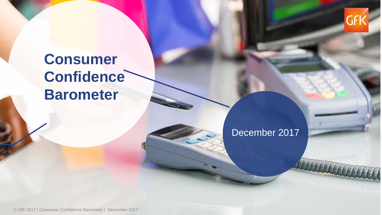

## **Consumer Confidence Barometer**

## December 2017

© GfK 2017 | Consumer Confidence Barometer | December 2017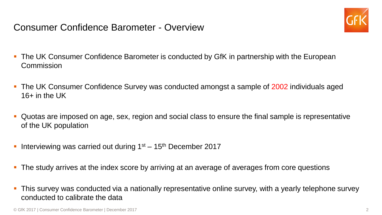Consumer Confidence Barometer - Overview



- The UK Consumer Confidence Barometer is conducted by GfK in partnership with the European **Commission**
- **The UK Consumer Confidence Survey was conducted amongst a sample of 2002 individuals aged** 16+ in the UK
- Quotas are imposed on age, sex, region and social class to ensure the final sample is representative of the UK population
- Interviewing was carried out during  $1<sup>st</sup> 15<sup>th</sup>$  December 2017
- **The study arrives at the index score by arriving at an average of averages from core questions**
- This survey was conducted via a nationally representative online survey, with a yearly telephone survey conducted to calibrate the data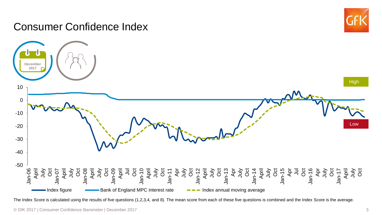## Consumer Confidence Index





The Index Score is calculated using the results of five questions (1,2,3,4, and 8). The mean score from each of these five questions is combined and the Index Score is the average.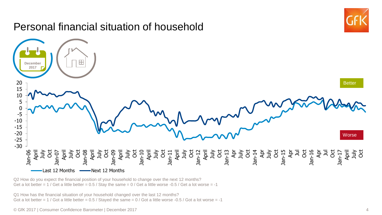

Q2 How do you expect the financial position of your household to change over the next 12 months? Get a lot better =  $1$  / Get a little better = 0.5 / Stay the same =  $0$  / Get a little worse -0.5 / Get a lot worse = -1

Q1 How has the financial situation of your household changed over the last 12 months? Got a lot better =  $1 /$  Got a little better = 0.5 / Stayed the same = 0 / Got a little worse -0.5 / Got a lot worse = -1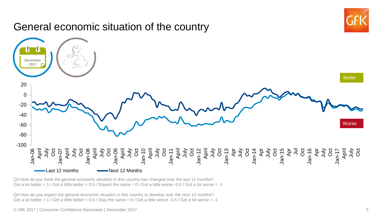

Q3 How do you think the general economic situation in this country has changed over the last 12 months? Got a lot better =  $1 /$  Got a little better =  $0.5 /$  Stayed the same =  $0 /$  Got a little worse -0.5  $/$  Got a lot worse = -1

Q4 How do you expect the general economic situation in this country to develop over the next 12 months? Get a lot better =  $1$  / Get a little better = 0.5 / Stay the same =  $0$  / Get a little worse -0.5 / Get a lot worse = -1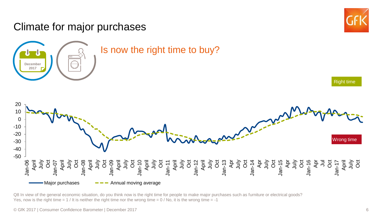

Q8 In view of the general economic situation, do you think now is the right time for people to make major purchases such as furniture or electrical goods? Yes, now is the right time  $= 1$  / It is neither the right time nor the wrong time  $= 0$  / No, it is the wrong time  $= -1$